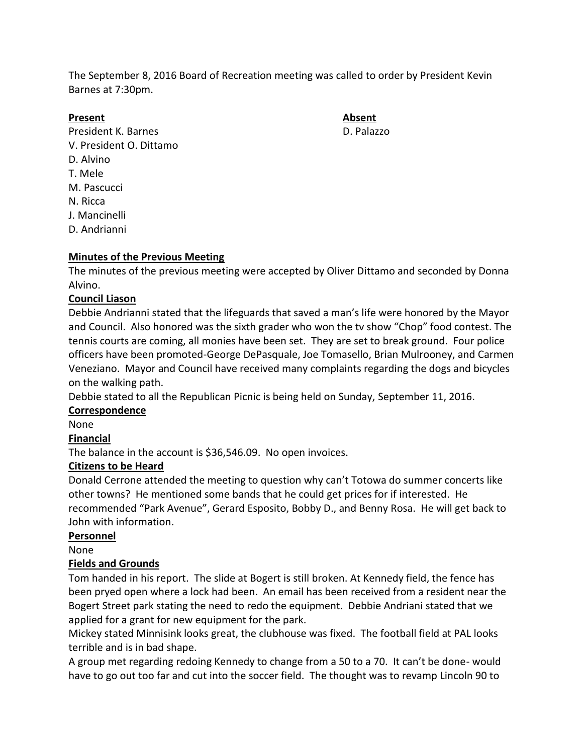The September 8, 2016 Board of Recreation meeting was called to order by President Kevin Barnes at 7:30pm.

### **Present Absent**

President K. Barnes **D. Palazzo** V. President O. Dittamo D. Alvino T. Mele M. Pascucci N. Ricca J. Mancinelli D. Andrianni

## **Minutes of the Previous Meeting**

The minutes of the previous meeting were accepted by Oliver Dittamo and seconded by Donna Alvino.

### **Council Liason**

Debbie Andrianni stated that the lifeguards that saved a man's life were honored by the Mayor and Council. Also honored was the sixth grader who won the tv show "Chop" food contest. The tennis courts are coming, all monies have been set. They are set to break ground. Four police officers have been promoted-George DePasquale, Joe Tomasello, Brian Mulrooney, and Carmen Veneziano. Mayor and Council have received many complaints regarding the dogs and bicycles on the walking path.

Debbie stated to all the Republican Picnic is being held on Sunday, September 11, 2016.

### **Correspondence**

None

### **Financial**

The balance in the account is \$36,546.09. No open invoices.

### **Citizens to be Heard**

Donald Cerrone attended the meeting to question why can't Totowa do summer concerts like other towns? He mentioned some bands that he could get prices for if interested. He recommended "Park Avenue", Gerard Esposito, Bobby D., and Benny Rosa. He will get back to John with information.

### **Personnel**

None

### **Fields and Grounds**

Tom handed in his report. The slide at Bogert is still broken. At Kennedy field, the fence has been pryed open where a lock had been. An email has been received from a resident near the Bogert Street park stating the need to redo the equipment. Debbie Andriani stated that we applied for a grant for new equipment for the park.

Mickey stated Minnisink looks great, the clubhouse was fixed. The football field at PAL looks terrible and is in bad shape.

A group met regarding redoing Kennedy to change from a 50 to a 70. It can't be done- would have to go out too far and cut into the soccer field. The thought was to revamp Lincoln 90 to